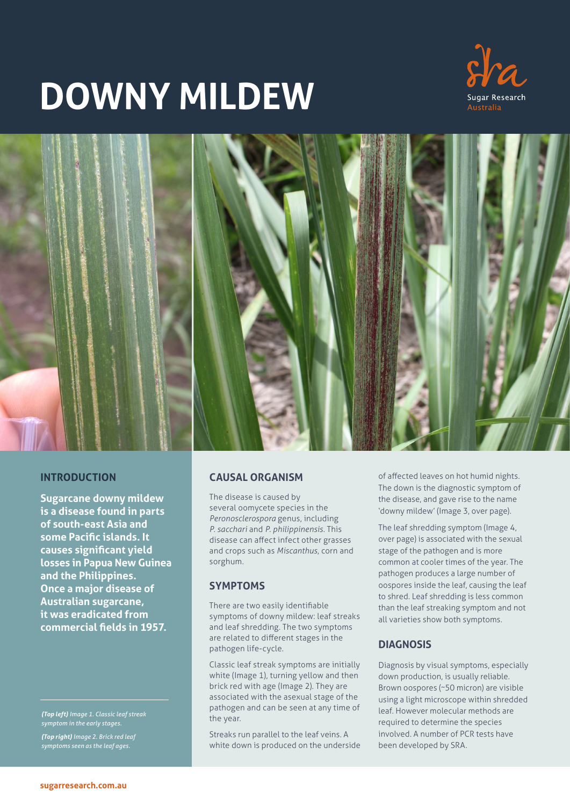# **DOWNY MILDEW**





# **INTRODUCTION**

**Sugarcane downy mildew is a disease found in parts of south-east Asia and some Pacific islands. It causes significant yield losses in Papua New Guinea and the Philippines. Once a major disease of Australian sugarcane, it was eradicated from commercial fields in 1957.**

*(Top left) Image 1. Classic leaf streak symptom in the early stages.*

*(Top right) Image 2. Brick red leaf symptoms seen as the leaf ages.*

### **CAUSAL ORGANISM**

The disease is caused by several oomycete species in the *Peronosclerospora* genus, including *P. sacchari* and *P. philippinensis.* This disease can affect infect other grasses and crops such as *Miscanthus*, corn and sorghum.

#### **SYMPTOMS**

There are two easily identifiable symptoms of downy mildew: leaf streaks and leaf shredding. The two symptoms are related to different stages in the pathogen life-cycle.

Classic leaf streak symptoms are initially white (Image 1), turning yellow and then brick red with age (Image 2). They are associated with the asexual stage of the pathogen and can be seen at any time of the year.

Streaks run parallel to the leaf veins. A white down is produced on the underside of affected leaves on hot humid nights. The down is the diagnostic symptom of the disease, and gave rise to the name 'downy mildew' (Image 3, over page).

The leaf shredding symptom (Image 4, over page) is associated with the sexual stage of the pathogen and is more common at cooler times of the year. The pathogen produces a large number of oospores inside the leaf, causing the leaf to shred. Leaf shredding is less common than the leaf streaking symptom and not all varieties show both symptoms.

### **DIAGNOSIS**

Diagnosis by visual symptoms, especially down production, is usually reliable. Brown oospores (~50 micron) are visible using a light microscope within shredded leaf. However molecular methods are required to determine the species involved. A number of PCR tests have been developed by SRA.